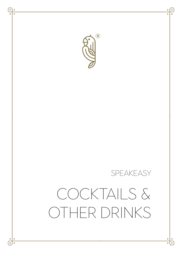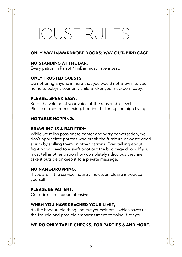# House rules

## **ONLY WAY IN-WARDROBE DOORS; WAY OUT- BIRD CAGE**

### **NO STANDING AT THE BAR.**

Every patron in Parrot MiniBar must have a seat.

## **ONLY TRUSTED GUESTS.**

Do not bring anyone in here that you would not allow into your home to babysit your only child and/or your new-born baby.

### **PLEASE, SPEAK EASY.**

Keep the volume of your voice at the reasonable level. Please refrain from cursing, hooting, hollering and high-fiving.

### **NO TABLE HOPPING.**

### **BRAWLING IS A BAD FORM.**

While we relish passionate banter and witty conversation, we don't appreciate patrons who break the furniture or waste good spirits by spilling them on other patrons. Even talking about fighting will lead to a swift boot out the bird cage doors. If you must tell another patron how completely ridiculous they are, take it outside or keep it to a private message.

#### **NO NAME-DROPPING.**

If you are in the service industry, however, please introduce yourself.

## **PLEASE BE PATIENT.**

Our drinks are labour intensive.

### **WHEN YOU HAVE REACHED YOUR LIMIT,**

do the honourable thing and cut yourself off – which saves us the trouble and possible embarrassment of doing it for you.

### **WE DO ONLY TABLE CHECKS, FOR PARTIES 6 AND MORE.**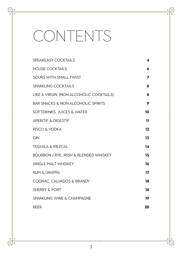# **CONTENTS**

7

 $\dot{\text{d}}$  $\overline{\phantom{a}}$ 

| SPEAKEASY COCKTAILS                               | 4       |
|---------------------------------------------------|---------|
| <b>HOUSE COCKTAILS</b>                            | 6       |
| SOURS WITH SMALL TWIST                            | 7       |
| SPARKLING COCKTAILS                               | 8       |
| LIKE A VIRGIN (NON ALCOHOLIC COCKTAILS)           | 8       |
| <b>BAR SNACKS &amp; NON ALCOHOLIC SPIRITS</b>     | 9       |
| SOFTDRINKS. JUICES & WATER                        | 10      |
| <b>APERITIF &amp; DIGESTIF</b>                    | 11      |
| PISCO & VODKA                                     | $12 \,$ |
| GIN                                               | 13      |
| <b>TEQUILA &amp; MEZCAL</b>                       | 14      |
| <b>BOURBON / RYE, IRISH &amp; BLENDED WHISKEY</b> | 15      |
| SINGLE MALT WHISKEY                               | 16      |
| <b>RUM &amp; GRAPPA</b>                           | 17      |
| COGNAC. CALVADOS & BRANDY                         | 18      |
| <b>SHERRY &amp; PORT</b>                          | 18      |
| <b>SPARKLING WINE &amp; CHAMPAGNE</b>             | 19      |
| <b>BEER</b>                                       | 20      |

 $\overline{\bullet}$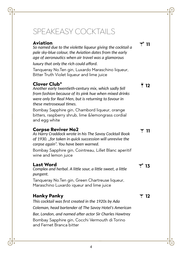# Speakeasy cocktails

## **Aviation** *So named due to the violette liqueur giving the cocktail a pale sky-blue colour, the Aviation dates from the early age of aeronautics when air travel was a glamorous luxury that only the rich could afford.* Tanqueray No.Ten gin, Luxardo Maraschino liqueur, Bitter Truth Violet liqueur and lime juice **Clover Club\*** *Another early twentieth-century mix, which sadly fell from fashion because of its pink hue when mixed drinks were only for Real Men, but is returning to favour in these metrosexual times.* Bombay Sapphire gin, Chambord liqueur, orange bitters, raspberry shrub, lime &lemongrass cordial and egg white **Corpse Reviver No2** *As Harry Craddock wrote in his The Savoy Cocktail Book of 1930. "for taken in quick succession will unrevive the corpse again". You have been warned.* Bombay Sapphire gin, Cointreau, Lillet Blanc aperitif wine and lemon juice

## **Last Word**

*Complex and herbal. A little sour, a little sweet, a little pungent.*

Tanqueray No.Ten gin, Green Chartreuse liqueur, Maraschino Luxardo iqueur and lime juice

# **Hanky Panky** *This cocktail was first created in the 1920s by Ada Coleman, head bartender of The Savoy Hotel's American Bar, London, and named after actor Sir Charles Hawtrey* Bombay Sapphire gin, Cocchi Vermouth di Torino and Fernet Branca bitter

 $\overline{9}$  12

p **<sup>11</sup>**

 $\overline{ }$  11

 $\overline{\mathbf{v}}^*$  13

 $\overline{2}$  12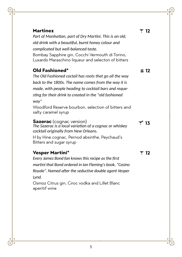| <b>Martinez</b><br>Part of Manhattan, part of Dry Martini. This is an old,<br>old drink with a beautiful, burnt honey colour and<br>complicated but well-balanced taste.<br>Bombay Sapphire gin, Cocchi Vermouth di Torino,<br>Luxardo Maraschino liqueur and selecton of bitters                                                         | ▼ 12                 |
|-------------------------------------------------------------------------------------------------------------------------------------------------------------------------------------------------------------------------------------------------------------------------------------------------------------------------------------------|----------------------|
| Old Fashioned*<br>The Old Fashioned coctail has roots that go all the way<br>back to the 1800s. The name comes from the way it is<br>made, with people heading to cocktail bars and reque-<br>sting for their drink to created in the "old fashioned<br>way"<br>Woodford Reserve bourbon, selection of bitters and<br>salty caramel syrup | ■ 12                 |
| Sazerac (cognac version)<br>The Sazerac is a local variation of a cognac or whiskey<br>cocktail originally from New Orleans.<br>H by Hine cognac, Pernod absinthe, Peychaud's<br>Bitters and sugar syrup                                                                                                                                  | $\overline{\tau}$ 13 |
| <b>Vesper Martini*</b><br>Every James Bond fan knows this recipe as the first<br>martini that Bond ordered in Ian Fleming's book, "Casino<br>Royale". Named after the seductive double agent Vesper<br>Lynd.<br>Osmoz Citrus gin, Ciroc vodka and Lillet Blanc<br>aperitif wine                                                           | $\overline{7}$ 12    |

7 ė

 $\dot{\theta}$ :

 $\bullet$  $\overline{\phantom{0}}$  $\overline{\cdot}$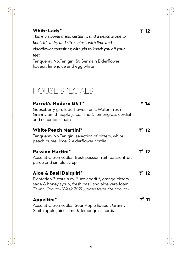# HOUSE SPECIALS **Parrot's Modern G&T\*** Gooseberry gin, Elderflower Tonic Water, fresh Granny Smith apple juice, lime & lemongrass cordial and cucumber foam  $\overline{9}$  14 **White Peach Martini\*** Tanqueray No.Ten gin, selection of bitters, white peach puree, lime & elderflower cordial p **<sup>12</sup> Passion Martini\*** Absolut Citron vodka, fresh passionfruit, passionfruit puree and simple syrup p **<sup>12</sup> Aloe & Basil Daiquiri\*** Plantation 3 stars rum, Suze aperitif, orange bitters, sage & honey syrup, fresh basil and aloe vera foam *Tallinn Cocktail Week 2021 judges favourite cocktail* p **<sup>12</sup> Appeltini\*** Absolut Citron vodka, Sour Apple liqueur, Granny Smith apple juice, lime & lemongrass cordial  $\overline{\mathbf{v}}^*$  11

**White Lady\*** *This is a sipping drink, certainly, and a delicate one to boot. It's a dry and citrus blast, with lime and elderflower conspiring with gin to knock you off your feet.*

Tanqueray No.Ten gin, St.Germain Elderflower liqueur, lime juice and egg white

F 12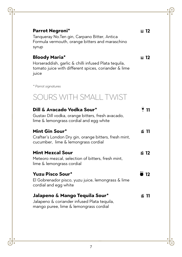| Parrot Negroni*<br>Tanqueray No.Ten gin, Carpano Bitter, Antica<br>Formula vermouth, orange bitters and maraschino<br>syrup                   | ⊠ 12         |
|-----------------------------------------------------------------------------------------------------------------------------------------------|--------------|
| <b>Bloody Maria*</b><br>Horseraddish, garlic & chilli infused Plata tequila,<br>tomato juice with different spices, coriander & lime<br>juice | ⊡ 12         |
| * Parrot signatures                                                                                                                           |              |
| SOURS WITH SMALL TWIST                                                                                                                        |              |
| Dill & Avacado Vodka Sour*<br>Gustav Dill vodka, orange bitters, fresh avacado,<br>lime & lemongrass cordial and egg white                    | ี่ 11        |
| Mint Gin Sour*<br>Crafter's London Dry gin, orange bitters, fresh mint,<br>cucumber, lime & lemongrass cordial                                | 61 11        |
| <b>Mint Mezcal Sour</b><br>Meteoro mezcal, selection of bitters, fresh mint,<br>lime & lemongrass cordial                                     | 面 12         |
| <b>Yuzu Pisco Sour*</b><br>El Gobrenador pisco, yuzu juice, lemongrass & lime<br>cordial and egg white                                        | $\bullet$ 12 |
| Jalapeno & Mango Tequila Sour*<br>Jalapeno & coriander infused Plata tequila,<br>mango puree, lime & lemongrass cordial                       | ี่ 611       |

 $\frac{1}{\epsilon}$ ė

 $\frac{1}{\cdots}$ 

٠  $\overline{\phantom{0}}$  $\overline{\cdot}$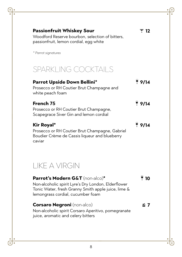| <b>Passionfruit Whiskey Sour</b><br>Woodford Reserve bourbon, selection of bitters,<br>passionfruit, lemon cordial, egg white                                                      | ▼ 12 |
|------------------------------------------------------------------------------------------------------------------------------------------------------------------------------------|------|
| * Parrot signatures                                                                                                                                                                |      |
| SPARKLING COCKTAILS                                                                                                                                                                |      |
| Parrot Upside Down Bellini*<br>Prosecco or RH Coutier Brut Champagne and<br>white peach foam                                                                                       | 9/14 |
| French 75<br>Prosecco or RH Coutier Brut Champagne,<br>Scapegrace Siver Gin and lemon cordial                                                                                      | 9/14 |
| <b>Kir Royal*</b><br>Prosecco or RH Coutier Brut Champagne, Gabriel<br>Boudier Crème de Cassis liqueur and blueberry<br>caviar                                                     | 9/14 |
| <b>LIKE A VIRGIN</b>                                                                                                                                                               |      |
| Parrot's Modern G&T (non-alco)*<br>Non-alcoholic spirit Lyre's Dry London, Elderflower<br>Tonic Water, fresh Granny Smith apple juice, lime &<br>lemongrass cordial, cucumber foam | 910  |
| <b>Corsaro Negroni</b> (non-alco)<br>Non-alcoholic spirit Corsaro Aperitivo, pomegranate<br>juice, aromatic and celery bitters                                                     | 66.7 |

7

 $\dot{\theta}$ :

 $\bullet$  $\overline{\bullet}$ 7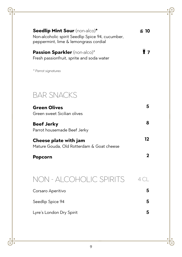| Seedlip Mint Sour (non-alco)*<br>Non-alcoholic spirit Seedlip Spice 94, cucumber,<br>peppermint, lime & lemongrass cordial | 61 10          |
|----------------------------------------------------------------------------------------------------------------------------|----------------|
| Passion Sparkler (non-alco)*<br>Fresh passionfruit, sprite and soda water                                                  | $\mathbf{r}$   |
| * Parrot signatures                                                                                                        |                |
| <b>BAR SNACKS</b>                                                                                                          |                |
| <b>Green Olives</b><br>Green sweet Sicilian olives                                                                         | 5              |
| <b>Beef Jerky</b><br>Parrot housemade Beef Jerky                                                                           | 8              |
| Cheese plate with jam<br>Mature Gouda, Old Rotterdam & Goat cheese                                                         | 12             |
| Popcorn                                                                                                                    | $\mathbf 2$    |
| NON - ALCOHOLIC SPIRITS                                                                                                    | 4 <sup>C</sup> |
| Corsaro Aperitivo                                                                                                          | 5              |
| Seedlip Spice 94                                                                                                           | 5              |
| Lyre's London Dry Spirit                                                                                                   | 5              |

Ğ ė

 $\frac{1}{\cdots}$ 

 $\cdot \bigcirc$ 

 $\div$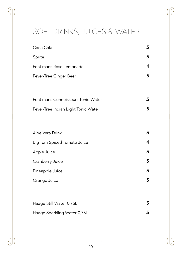# softdrinks, Juices & WATER

| Coca-Cola                           | 3 |
|-------------------------------------|---|
| Sprite                              | 3 |
| Fentimans Rose Lemonade             | 4 |
| Fever-Tree Ginger Beer              | 3 |
|                                     |   |
| Fentimans Connoisseurs Tonic Water  | 3 |
| Fever-Tree Indian Light Tonic Water | 3 |
|                                     |   |
| Aloe Vera Drink                     | 3 |
| <b>Big Tom Spiced Tomato Juice</b>  | 4 |
| Apple Juice                         | 3 |
| Cranberry Juice                     | 3 |
| Pineapple Juice                     | 3 |
| Orange Juice                        | 3 |
|                                     |   |
| Haage Still Water 0,75L             | 5 |
| Haage Sparkling Water 0,75L         | 5 |
|                                     |   |

10

 $\overline{\left( \cdot \right)}$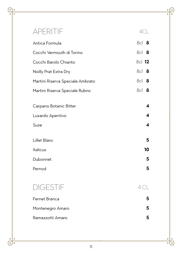# aperitif 4cl Antica Formula 8cl **8** Cocchi Vermouth di Torino 8cl **8** Cocchi Barolo Chianto 8cl **12** Noilly Prat Extra Dry 8cl **8** Martini Riserva Speciale Ambrato **8** and 8cl **8** Martini Riserva Speciale Rubno 8cl 8 Carpano Botanic Bitter **4** Luxardo Aperitivo **4** Suze **4** Lillet Blanc **5** Italicus **10** Dubonnet **5** Pernod **5** digestif 4 cl Fernet Branca **5** Montenegro Amaro **5** Ramazzotti Amaro **5**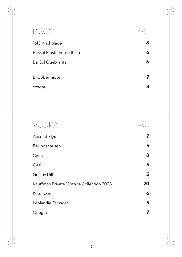# PISCO 4 CL 1615 Ancholade **8** BarSol Mosto Verde Italia **6** BarSol Quebranta **6** El Gobernador **7** Waqar **8** vodka 4 cl Absolut Elyx **7** Bellingshausen **5** Ciroc **8** CXX **5** Gustav Dill **5** Kauffman Private Vintage Collection 2008 **20** Ketel One **6** Laplandia Espresso **5** Onegin **7**

12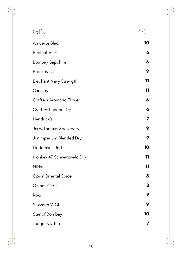| GIN                             | 4 CL |
|---------------------------------|------|
| Amuerte Black                   | 10   |
| Beefeater 24                    | 6    |
| <b>Bombay Sapphire</b>          | 6    |
| <b>Brockmans</b>                | 9    |
| Elephant Navy Strength          | 11   |
| Canaima                         | 11   |
| <b>Crafters Aromatic Flower</b> | 6    |
| Crafters London Dry             | 6    |
| Hendrick's                      | 7    |
| Jerry Thomas Speakeasy          | 9    |
| Junimperium Blended Dry         | 9    |
| Lindemans Red                   | 10   |
| Monkey 47 Schwarzwald Dry       | 11   |
| Nikka                           | 11   |
| Opihr Oriental Spice            | 8    |
| Ozmos Citrus                    | 8    |
| Roku                            | 9    |
| Sipsmith VJOP                   | 9    |
| Star of Bombay                  | 10   |
| <b>Tanqueray Ten</b>            | 7    |
|                                 |      |

 $\overline{\bullet}$ 

 $\dot{\mathbf{d}}$ :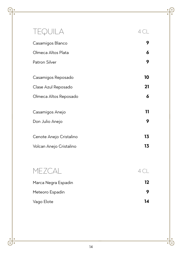| TEQUILA                                   | 4 CL           |
|-------------------------------------------|----------------|
| Casamigos Blanco                          | 9              |
| Olmeca Altos Plata                        | 6              |
| Patron Silver                             | 9              |
| Casamigos Reposado<br>Clase Azul Reposado | 10<br>21       |
| Olmeca Altos Reposado                     | 6              |
| Casamigos Anejo<br>Don Julio Anejo        | 11<br>9        |
| Cenote Anejo Cristalino                   | 13             |
| Volcan Anejo Cristalino                   | 13             |
|                                           |                |
| MEZCAL                                    | 4 <sup>C</sup> |
| Marca Negra Espadin                       | 12             |
| Meteoro Espadin                           | 9              |
| Vago Elote                                | 14             |

 $\overline{\bullet}$ 

 $\dot{\text{d}}$ ۰  $\overline{\cdot}$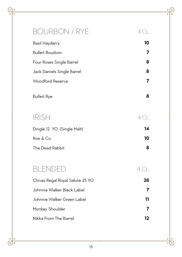# BOURBON / RYE 4 CL Basil Hayden's **10** Bulleit Bourbon **7** Four Roses Single Barrel **8** Jack Daniels Single Barrel **8** Woodford Reserva **7** Bulleit Rye **8**

| <b>IRISH</b>               |    |
|----------------------------|----|
| Dingle 12 YO (Single Malt) | 14 |
| Roe & Co                   | 10 |

The Dead Rabbit **8**

# BLENDED 4 CL

| Chivas Regal Royal Salute 25 YO | 28 |
|---------------------------------|----|
| Johnnie Walker Black Label      |    |
| Johnnie Walker Green Label      | 11 |
| Monkey Shoulder                 |    |
| Nikka From The Barrel           | 12 |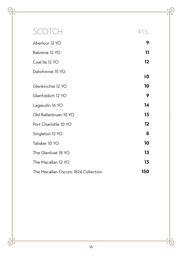| SCOTCH                              | 4 ( |
|-------------------------------------|-----|
| Aberlour 12 YO                      | 9   |
| Balvenie 12 YO                      | 11  |
| Coal Ila 12 YO                      | 12  |
| Dalwhinnie 15 YO                    | 10  |
| Glenkinchie 12 YO                   | 10  |
| Glenfiddich 12 YO                   | 9   |
| Lagavulin 16 YO                     | 14  |
| Old Ballantruan 10 YO               | 13  |
| Port Charlotte 10 YO                | 12  |
| Singleton 12 YO                     | 8   |
| Talisker 10 YO                      | 10  |
| The Glenlivet 18 YO                 | 13  |
| The Macallan 12 YO                  | 13  |
| The Macallan Oscuro 1824 Collection | 150 |

 $\bullet$ 

 $\dot{\text{d}}$  $\bullet$  $\overline{\cdot}$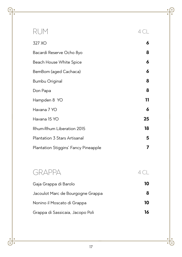| RUM                                  | 4 ( |
|--------------------------------------|-----|
| 327 XO                               | 6   |
| Bacardi Reserve Ocho 8yo             | 8   |
| Beach House White Spice              | 6   |
| BemBom (aged Cachaca)                | 6   |
| Bumbu Original                       | 8   |
| Don Papa                             | 8   |
| Hampden 8 YO                         | 11  |
| Havana 7 YO                          | 6   |
| Havana 15 YO                         | 25  |
| Rhum-Rhum Liberation 2015            | 18  |
| Plantation 3 Stars Artisanal         | 5   |
| Plantation Stiggins' Fancy Pineapple | 7   |

# GRAPPA 4 CL

7

 $\frac{1}{\left(\frac{1}{2}\right)^{2}}$ 

| Gaja Grappa di Barolo             | 10 |
|-----------------------------------|----|
| Jacoulot Marc de Bourgogne Grappa | 8  |
| Nonino il Moscato di Grappa       | 10 |
| Grappa di Sassicaia, Jacopo Poli  | 16 |

 $\overline{\bullet}$ F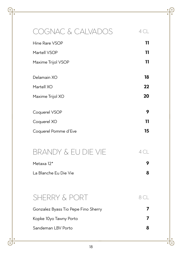| <b>DGNAC &amp; CALVADOS</b>         | 4 CL           |
|-------------------------------------|----------------|
| Hine Rare VSOP                      | 11             |
| Martell VSOP                        | 11             |
| Maxime Trijol VSOP                  | 11             |
| Delamain XO                         | 18             |
| Martell XO                          | 22             |
| Maxime Trijol XO                    | 20             |
|                                     |                |
| Coquerel VSOP                       | 9              |
| Coquerel XO                         | 11             |
| Coquerel Pomme d'Eve                | 15             |
|                                     |                |
| BRANDY & EU DIE VIE                 | 4 <sup>C</sup> |
| Metaxa 12*                          | 9              |
| La Blanche Eu Die Vie               | 8              |
|                                     |                |
| SHERRY & PORT                       | 8 CL           |
| Gonzalez Byass Tio Pepe Fino Sherry | 7              |
| Kopke 10yo Tawny Porto              | 7              |
| Sandeman LBV Porto                  | 8              |
|                                     |                |

18

 $\frac{1}{\left(\frac{1}{2}\right)^{2}}$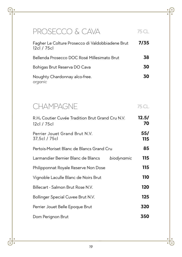# PROSECCO & CAVA 75 CL Fagher Le Colture Prosecco di Valdobbiadene Brut 12cl / 75cl **7/35** Bellenda Prosecco DOC Rosé Millesimato Brut **38** Bohigas Brut Reserva DO Cava **30** Noughty Chardonnay alco-free. *organic* **30**

| 75 CL       |
|-------------|
| 12.5/<br>70 |
| 55/<br>115  |
| 85          |
| 115         |
| 115         |
| 110         |
| 120         |
| 125         |
| 320         |
| 350         |
|             |